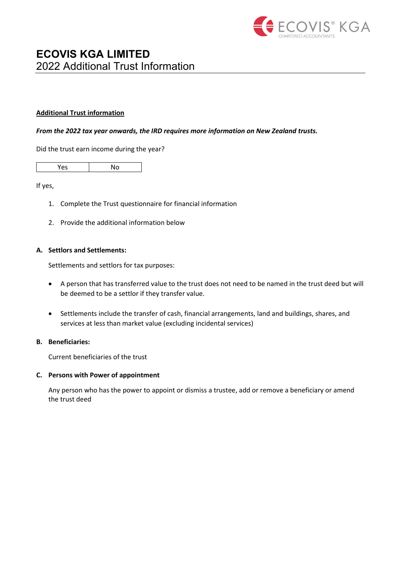

## **Additional Trust information**

#### *From the 2022 tax year onwards, the IRD requires more information on New Zealand trusts.*

Did the trust earn income during the year?

| $-$ | N٥ |
|-----|----|
|     |    |

If yes,

- 1. Complete the Trust questionnaire for financial information
- 2. Provide the additional information below

## **A. Settlors and Settlements:**

Settlements and settlors for tax purposes:

- A person that has transferred value to the trust does not need to be named in the trust deed but will be deemed to be a settlor if they transfer value.
- Settlements include the transfer of cash, financial arrangements, land and buildings, shares, and services at less than market value (excluding incidental services)

## **B. Beneficiaries:**

Current beneficiaries of the trust

#### **C. Persons with Power of appointment**

Any person who has the power to appoint or dismiss a trustee, add or remove a beneficiary or amend the trust deed